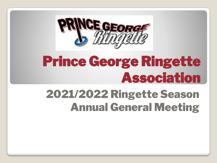

# Prince George Ringette Association

### 2021/2022 Ringette Season Annual General Meeting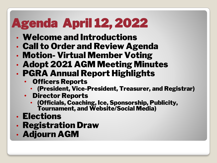## Agenda April 12, 2022

- Welcome and Introductions
- Call to Order and Review Agenda
- Motion- Virtual Member Voting
- Adopt 2021 AGM Meeting Minutes
- PGRA Annual Report Highlights
	- Officers Reports
		- (President, Vice-President, Treasurer, and Registrar)
	- Director Reports
		- (Officials, Coaching, Ice, Sponsorship, Publicity, Tournament, and Website/Social Media)
- Elections
- Registration Draw
- Adjourn AGM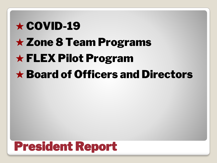# $\star$  COVID-19 ★ Zone 8 Team Programs ★ FLEX Pilot Program ★ Board of Officers and Directors

### President Report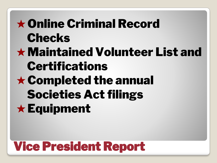## ★Online Criminal Record Checks ★Maintained Volunteer List and Certifications ★Completed the annual Societies Act filings ★Equipment

### Vice President Report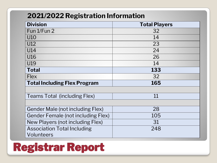#### **2021/2022 Registration Information**

| <b>Division</b>                           | <b>Total Players</b> |  |  |
|-------------------------------------------|----------------------|--|--|
| Fun 1/Fun 2                               | 32                   |  |  |
| U10                                       | 14                   |  |  |
| U12                                       | 23                   |  |  |
| U14                                       | 24                   |  |  |
| U16                                       | 26                   |  |  |
| U19                                       | 14                   |  |  |
| <b>Total</b>                              | 133                  |  |  |
| <b>Flex</b>                               | 32                   |  |  |
| <b>Total Including Flex Program</b>       | 165                  |  |  |
|                                           |                      |  |  |
| <b>Teams Total (including Flex)</b>       | 11                   |  |  |
|                                           |                      |  |  |
| <b>Gender Male (not including Flex)</b>   | 28                   |  |  |
| <b>Gender Female (not including Flex)</b> | 105                  |  |  |
| New Players (not including Flex)          | 31                   |  |  |
| <b>Association Total Including</b>        | 248                  |  |  |
| Volunteers                                |                      |  |  |

### Registrar Report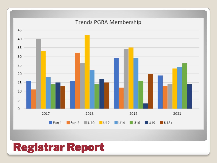

#### Registrar Report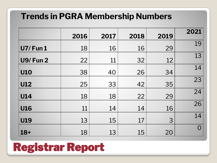#### **Trends in PGRA Membership Numbers**

|                | 2016 | 2017 | 2018 | 2019 | 2021     |
|----------------|------|------|------|------|----------|
| <b>U7/Fun1</b> | 18   | 16   | 16   | 29   | 19       |
| <b>U9/Fun2</b> | 22   | 11   | 32   | 12   | 13       |
| <b>U10</b>     | 38   | 40   | 26   | 34   | 14       |
| <b>U12</b>     | 25   | 33   | 42   | 35   | 23       |
| <b>U14</b>     | 18   | 18   | 22   | 29   | 24       |
| <b>U16</b>     | 11   | 14   | 14   | 16   | 26       |
| <b>U19</b>     | 13   | 15   | 17   | 3    | 14       |
| $18+$          | 18   | 13   | 15   | 20   | $\Omega$ |

### Registrar Report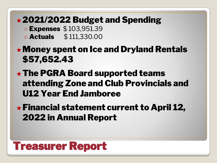#### ★2021/2022 Budget and Spending

○ Expenses \$ 103,951.39

○ Actuals \$ 111,330.00

#### ★Money spent on Ice and Dryland Rentals \$57,652.43

#### $\star$  The PGRA Board supported teams attending Zone and Club Provincials and U12 Year End Jamboree

#### ★Financial statement current to April 12, 2022 in Annual Report

#### Treasurer Report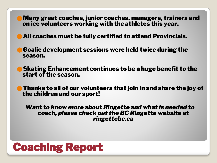⚫Many great coaches, junior coaches, managers, trainers and on ice volunteers working with the athletes this year.

⚫All coaches must be fully certified to attend Provincials.

⚫Goalie development sessions were held twice during the season.

⚫Skating Enhancement continues to be a huge benefit to the start of the season.

⚫Thanks to all of our volunteers that join in and share the joy of the children and our sport!

*Want to know more about Ringette and what is needed to coach, please check out the BC Ringette website at ringettebc.ca*

#### Coaching Report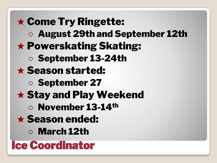Ice Coordinator ★ Come Try Ringette: ○ August 29th and September 12th  $\star$  Powerskating Skating: ○ September 13-24th ★ Season started: ○ September 27 ★ Stay and Play Weekend ○ November 13-14th ★ Season ended: ○ March 12th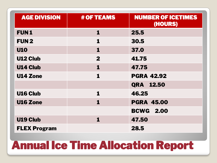| <b>AGE DIVISION</b> | <b># OF TEAMS</b> | <b>NUMBER OF ICETIMES</b><br>(HOURS) |
|---------------------|-------------------|--------------------------------------|
| <b>FUN1</b>         | 1                 | 25.5                                 |
| <b>FUN2</b>         | 1                 | 30.5                                 |
| <b>U10</b>          | 1                 | 37.0                                 |
| <b>U12 Club</b>     | $\mathbf{2}$      | 41.75                                |
| <b>U14 Club</b>     | 1                 | 47.75                                |
| <b>U14 Zone</b>     | 1                 | <b>PGRA 42.92</b>                    |
|                     |                   | QRA 12.50                            |
| <b>U16 Club</b>     | 1                 | 46.25                                |
| <b>U16 Zone</b>     | 1                 | <b>PGRA 45.00</b>                    |
|                     |                   | <b>BCWG 2.00</b>                     |
| <b>U19 Club</b>     | 1                 | 47.50                                |
| <b>FLEX Program</b> |                   | 28.5                                 |

### Annual Ice Time Allocation Report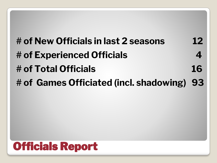### **# of New Officials in last 2 seasons 12 # of Experienced Officials 4 # of Total Officials 16 # of Games Officiated (incl. shadowing) 93**

### Officials Report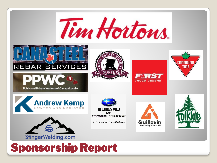

### Sponsorship Report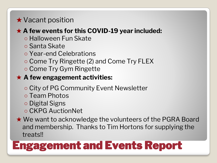#### ★ Vacant position

#### ★ **A few events for this COVID-19 year included:**

- Halloween Fun Skate
- Santa Skate
- Year-end Celebrations
- Come Try Ringette (2) and Come Try FLEX
- Come Try Gym Ringette

#### ★ **A few engagement activities:**

- City of PG Community Event Newsletter
- Team Photos
- Digital Signs
- CKPG AuctionNet
- ★ We want to acknowledge the volunteers of the PGRA Board and membership. Thanks to Tim Hortons for supplying the treats!!

### Engagement and Events Report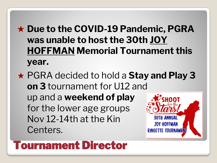#### ★ **Due to the COVID-19 Pandemic, PGRA was unable to host the 30th JOY HOFFMAN Memorial Tournament this year.**

★ PGRA decided to hold a **Stay and Play 3 on 3** tournament for U12 and up and a **weekend of play**  for the lower age groups Nov 12-14th at the Kin **JOY HOFFMAN** Centers. **RINGETTE TOURNAMENT** 

#### Tournament Director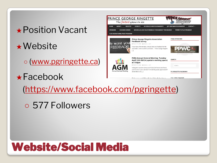# ★Position Vacant

★Website

○ [\(www.pgringette.ca\)](http://www.pgringette.ca/)

★Facebook



[\(https://www.facebook.com/pgringette\)](https://www.facebook.com/PGRingette)

○ 577 Followers

### Website/Social Media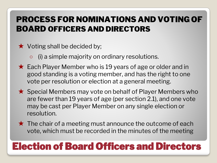#### PROCESS FOR NOMINATIONS AND VOTING OF BOARD OFFICERS AND DIRECTORS

- $\star$  Voting shall be decided by;
	- (i) a simple majority on ordinary resolutions.
- $\star$  Each Player Member who is 19 years of age or older and in good standing is a voting member, and has the right to one vote per resolution or election at a general meeting.
- ★ Special Members may vote on behalf of Player Members who are fewer than 19 years of age (per section 2.1), and one vote may be cast per Player Member on any single election or resolution.
- $\star$  The chair of a meeting must announce the outcome of each vote, which must be recorded in the minutes of the meeting

#### Election of Board Officers and Directors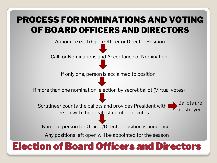#### PROCESS FOR NOMINATIONS AND VOTING OF BOARD OFFICERS AND DIRECTORS

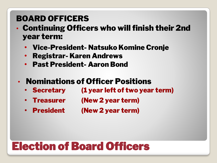#### BOARD OFFICERS

- Continuing Officers who will finish their 2nd year term:
	- Vice-President- Natsuko Komine Cronje
	- Registrar- Karen Andrews
	- Past President- Aaron Bond
	- Nominations of Officer Positions
		- Secretary (1 year left of two year term)
		- Treasurer (New 2 year term)
		- President (New 2 year term)

### Election of Board Officers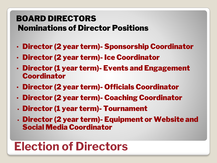#### BOARD DIRECTORS Nominations of Director Positions

- Director (2 year term)- Sponsorship Coordinator
- Director (2 year term)- Ice Coordinator
- Director (1 year term)- Events and Engagement Coordinator
- Director (2 year term)- Officials Coordinator
- Director (2 year term)- Coaching Coordinator
- Director (1 year term)- Tournament
- Director (2 year term)- Equipment or Website and Social Media Coordinator

### **Election of Directors**